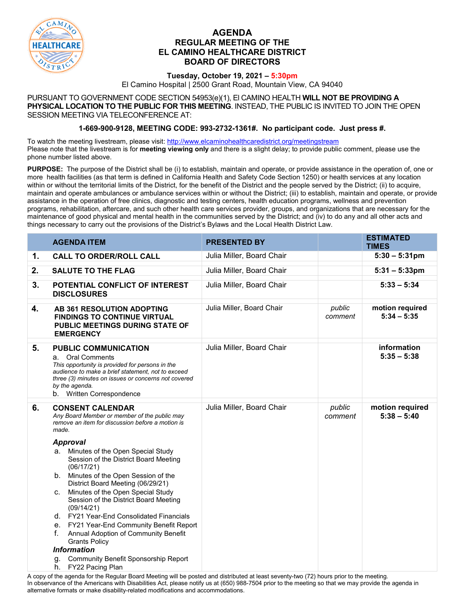

## **AGENDA REGULAR MEETING OF THE EL CAMINO HEALTHCARE DISTRICT BOARD OF DIRECTORS**

## **Tuesday, October 19, 2021 – 5:30pm**

El Camino Hospital | 2500 Grant Road, Mountain View, CA 94040

PURSUANT TO GOVERNMENT CODE SECTION 54953(e)(1), El CAMINO HEALTH **WILL NOT BE PROVIDING A PHYSICAL LOCATION TO THE PUBLIC FOR THIS MEETING**. INSTEAD, THE PUBLIC IS INVITED TO JOIN THE OPEN SESSION MEETING VIA TELECONFERENCE AT:

## **1-669-900-9128, MEETING CODE: 993-2732-1361#. No participant code. Just press #.**

To watch the meeting livestream, please visit:<http://www.elcaminohealthcaredistrict.org/meetingstream> Please note that the livestream is for **meeting viewing only** and there is a slight delay; to provide public comment, please use the phone number listed above.

**PURPOSE:** The purpose of the District shall be (i) to establish, maintain and operate, or provide assistance in the operation of, one or more health facilities (as that term is defined in California Health and Safety Code Section 1250) or health services at any location within or without the territorial limits of the District, for the benefit of the District and the people served by the District; (ii) to acquire, maintain and operate ambulances or ambulance services within or without the District; (iii) to establish, maintain and operate, or provide assistance in the operation of free clinics, diagnostic and testing centers, health education programs, wellness and prevention programs, rehabilitation, aftercare, and such other health care services provider, groups, and organizations that are necessary for the maintenance of good physical and mental health in the communities served by the District; and (iv) to do any and all other acts and things necessary to carry out the provisions of the District's Bylaws and the Local Health District Law.

| <b>AGENDA ITEM</b>                                                                                                                                                                                                                                                                                                                                                                                                                                                                                                                   | <b>PRESENTED BY</b>       |                   | <b>ESTIMATED</b><br><b>TIMES</b> |
|--------------------------------------------------------------------------------------------------------------------------------------------------------------------------------------------------------------------------------------------------------------------------------------------------------------------------------------------------------------------------------------------------------------------------------------------------------------------------------------------------------------------------------------|---------------------------|-------------------|----------------------------------|
| <b>CALL TO ORDER/ROLL CALL</b>                                                                                                                                                                                                                                                                                                                                                                                                                                                                                                       | Julia Miller, Board Chair |                   | $5:30 - 5:31 \text{pm}$          |
| <b>SALUTE TO THE FLAG</b>                                                                                                                                                                                                                                                                                                                                                                                                                                                                                                            | Julia Miller, Board Chair |                   | $5:31 - 5:33$ pm                 |
| POTENTIAL CONFLICT OF INTEREST<br><b>DISCLOSURES</b>                                                                                                                                                                                                                                                                                                                                                                                                                                                                                 | Julia Miller, Board Chair |                   | $5:33 - 5:34$                    |
| AB 361 RESOLUTION ADOPTING<br><b>FINDINGS TO CONTINUE VIRTUAL</b><br>PUBLIC MEETINGS DURING STATE OF<br><b>EMERGENCY</b>                                                                                                                                                                                                                                                                                                                                                                                                             | Julia Miller, Board Chair | public<br>comment | motion required<br>$5:34 - 5:35$ |
| <b>PUBLIC COMMUNICATION</b><br>a. Oral Comments<br>This opportunity is provided for persons in the<br>audience to make a brief statement, not to exceed<br>three (3) minutes on issues or concerns not covered<br>by the agenda.<br>b. Written Correspondence                                                                                                                                                                                                                                                                        | Julia Miller, Board Chair |                   | information<br>$5:35 - 5:38$     |
| <b>CONSENT CALENDAR</b><br>Any Board Member or member of the public may<br>remove an item for discussion before a motion is<br>made.                                                                                                                                                                                                                                                                                                                                                                                                 | Julia Miller, Board Chair | public<br>comment | motion required<br>$5:38 - 5:40$ |
| <b>Approval</b><br>a. Minutes of the Open Special Study<br>Session of the District Board Meeting<br>(06/17/21)<br>Minutes of the Open Session of the<br>b.<br>District Board Meeting (06/29/21)<br>Minutes of the Open Special Study<br>C.<br>Session of the District Board Meeting<br>(09/14/21)<br>d. FY21 Year-End Consolidated Financials<br>e. FY21 Year-End Community Benefit Report<br>Annual Adoption of Community Benefit<br>f.<br><b>Grants Policy</b><br><b>Information</b><br>Community Benefit Sponsorship Report<br>g. |                           |                   |                                  |
|                                                                                                                                                                                                                                                                                                                                                                                                                                                                                                                                      | FY22 Pacing Plan<br>h.    |                   |                                  |

A copy of the agenda for the Regular Board Meeting will be posted and distributed at least seventy-two (72) hours prior to the meeting. In observance of the Americans with Disabilities Act, please notify us at (650) 988-7504 prior to the meeting so that we may provide the agenda in alternative formats or make disability-related modifications and accommodations.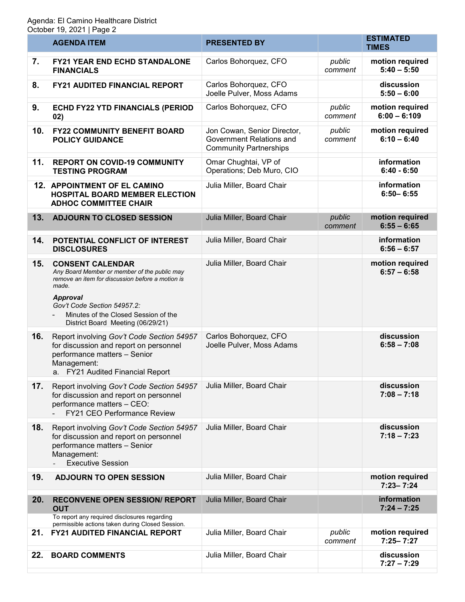|     | <b>AGENDA ITEM</b>                                                                                                                                                                                                                                                  | <b>PRESENTED BY</b>                                                                      |                   | <b>ESTIMATED</b><br><b>TIMES</b>  |
|-----|---------------------------------------------------------------------------------------------------------------------------------------------------------------------------------------------------------------------------------------------------------------------|------------------------------------------------------------------------------------------|-------------------|-----------------------------------|
| 7.  | <b>FY21 YEAR END ECHD STANDALONE</b><br><b>FINANCIALS</b>                                                                                                                                                                                                           | Carlos Bohorquez, CFO                                                                    | public<br>comment | motion required<br>$5:40 - 5:50$  |
| 8.  | <b>FY21 AUDITED FINANCIAL REPORT</b>                                                                                                                                                                                                                                | Carlos Bohorquez, CFO<br>Joelle Pulver, Moss Adams                                       |                   | discussion<br>$5:50 - 6:00$       |
| 9.  | ECHD FY22 YTD FINANCIALS (PERIOD<br>02)                                                                                                                                                                                                                             | Carlos Bohorquez, CFO                                                                    | public<br>comment | motion required<br>$6:00 - 6:109$ |
| 10. | <b>FY22 COMMUNITY BENEFIT BOARD</b><br><b>POLICY GUIDANCE</b>                                                                                                                                                                                                       | Jon Cowan, Senior Director,<br>Government Relations and<br><b>Community Partnerships</b> | public<br>comment | motion required<br>$6:10 - 6:40$  |
| 11. | <b>REPORT ON COVID-19 COMMUNITY</b><br><b>TESTING PROGRAM</b>                                                                                                                                                                                                       | Omar Chughtai, VP of<br>Operations; Deb Muro, CIO                                        |                   | information<br>$6:40 - 6:50$      |
|     | 12. APPOINTMENT OF EL CAMINO<br><b>HOSPITAL BOARD MEMBER ELECTION</b><br><b>ADHOC COMMITTEE CHAIR</b>                                                                                                                                                               | Julia Miller, Board Chair                                                                |                   | information<br>$6:50 - 6:55$      |
| 13. | <b>ADJOURN TO CLOSED SESSION</b>                                                                                                                                                                                                                                    | Julia Miller, Board Chair                                                                | public<br>comment | motion required<br>$6:55 - 6:65$  |
| 14. | POTENTIAL CONFLICT OF INTEREST<br><b>DISCLOSURES</b>                                                                                                                                                                                                                | Julia Miller, Board Chair                                                                |                   | information<br>$6:56 - 6:57$      |
| 15. | <b>CONSENT CALENDAR</b><br>Any Board Member or member of the public may<br>remove an item for discussion before a motion is<br>made.<br><b>Approval</b><br>Gov't Code Section 54957.2:<br>Minutes of the Closed Session of the<br>District Board Meeting (06/29/21) | Julia Miller, Board Chair                                                                |                   | motion required<br>$6:57 - 6:58$  |
| 16. | Report involving Gov't Code Section 54957<br>for discussion and report on personnel<br>performance matters - Senior<br>Management:<br>a. FY21 Audited Financial Report                                                                                              | Carlos Bohorquez, CFO<br>Joelle Pulver, Moss Adams                                       |                   | discussion<br>$6:58 - 7:08$       |
| 17. | Report involving Gov't Code Section 54957<br>for discussion and report on personnel<br>performance matters - CEO:<br>FY21 CEO Performance Review                                                                                                                    | Julia Miller, Board Chair                                                                |                   | discussion<br>$7:08 - 7:18$       |
| 18. | Report involving Gov't Code Section 54957<br>for discussion and report on personnel<br>performance matters - Senior<br>Management:<br><b>Executive Session</b>                                                                                                      | Julia Miller, Board Chair                                                                |                   | discussion<br>$7:18 - 7:23$       |
| 19. | <b>ADJOURN TO OPEN SESSION</b>                                                                                                                                                                                                                                      | Julia Miller, Board Chair                                                                |                   | motion required<br>$7:23 - 7:24$  |
| 20. | <b>RECONVENE OPEN SESSION/ REPORT</b><br><b>OUT</b>                                                                                                                                                                                                                 | Julia Miller, Board Chair                                                                |                   | information<br>$7:24 - 7:25$      |
| 21. | To report any required disclosures regarding<br>permissible actions taken during Closed Session.<br><b>FY21 AUDITED FINANCIAL REPORT</b>                                                                                                                            | Julia Miller, Board Chair                                                                | public<br>comment | motion required<br>$7:25 - 7:27$  |
| 22. | <b>BOARD COMMENTS</b>                                                                                                                                                                                                                                               | Julia Miller, Board Chair                                                                |                   | discussion<br>$7:27 - 7:29$       |